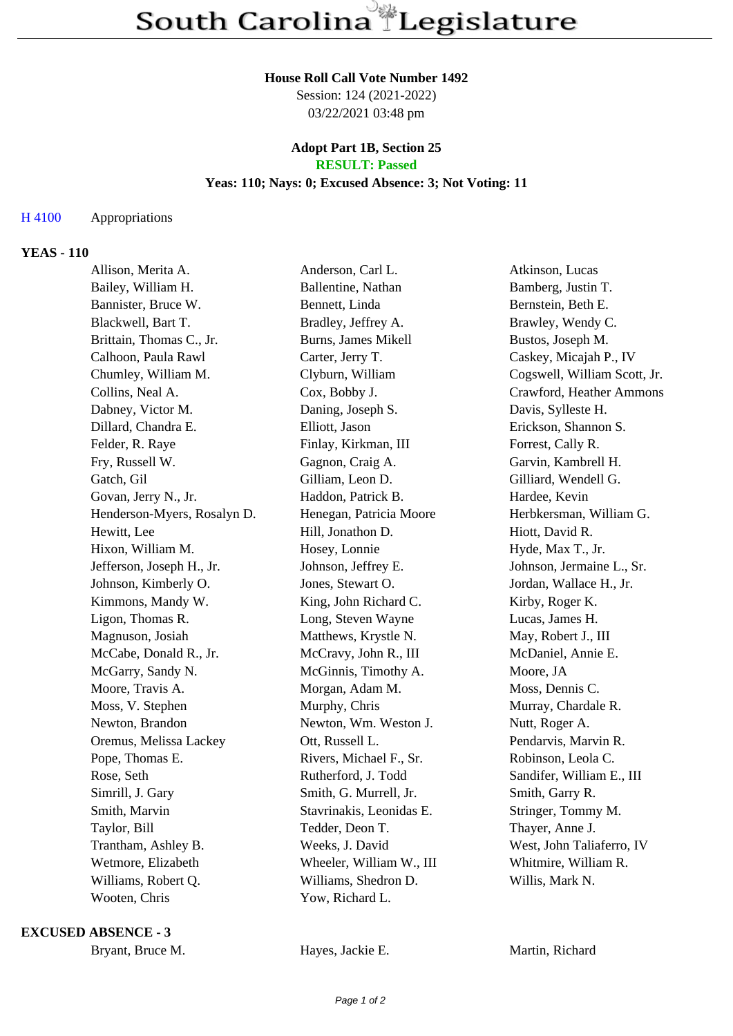#### **House Roll Call Vote Number 1492**

Session: 124 (2021-2022) 03/22/2021 03:48 pm

### **Adopt Part 1B, Section 25 RESULT: Passed**

#### **Yeas: 110; Nays: 0; Excused Absence: 3; Not Voting: 11**

# H 4100 Appropriations

# **YEAS - 110**

| Allison, Merita A.          | Anderson, Carl L.        | Atkinson, Lucas              |
|-----------------------------|--------------------------|------------------------------|
| Bailey, William H.          | Ballentine, Nathan       | Bamberg, Justin T.           |
| Bannister, Bruce W.         | Bennett, Linda           | Bernstein, Beth E.           |
| Blackwell, Bart T.          | Bradley, Jeffrey A.      | Brawley, Wendy C.            |
| Brittain, Thomas C., Jr.    | Burns, James Mikell      | Bustos, Joseph M.            |
| Calhoon, Paula Rawl         | Carter, Jerry T.         | Caskey, Micajah P., IV       |
| Chumley, William M.         | Clyburn, William         | Cogswell, William Scott, Jr. |
| Collins, Neal A.            | Cox, Bobby J.            | Crawford, Heather Ammons     |
| Dabney, Victor M.           | Daning, Joseph S.        | Davis, Sylleste H.           |
| Dillard, Chandra E.         | Elliott, Jason           | Erickson, Shannon S.         |
| Felder, R. Raye             | Finlay, Kirkman, III     | Forrest, Cally R.            |
| Fry, Russell W.             | Gagnon, Craig A.         | Garvin, Kambrell H.          |
| Gatch, Gil                  | Gilliam, Leon D.         | Gilliard, Wendell G.         |
| Govan, Jerry N., Jr.        | Haddon, Patrick B.       | Hardee, Kevin                |
| Henderson-Myers, Rosalyn D. | Henegan, Patricia Moore  | Herbkersman, William G.      |
| Hewitt, Lee                 | Hill, Jonathon D.        | Hiott, David R.              |
| Hixon, William M.           | Hosey, Lonnie            | Hyde, Max T., Jr.            |
| Jefferson, Joseph H., Jr.   | Johnson, Jeffrey E.      | Johnson, Jermaine L., Sr.    |
| Johnson, Kimberly O.        | Jones, Stewart O.        | Jordan, Wallace H., Jr.      |
| Kimmons, Mandy W.           | King, John Richard C.    | Kirby, Roger K.              |
| Ligon, Thomas R.            | Long, Steven Wayne       | Lucas, James H.              |
| Magnuson, Josiah            | Matthews, Krystle N.     | May, Robert J., III          |
| McCabe, Donald R., Jr.      | McCravy, John R., III    | McDaniel, Annie E.           |
| McGarry, Sandy N.           | McGinnis, Timothy A.     | Moore, JA                    |
| Moore, Travis A.            | Morgan, Adam M.          | Moss, Dennis C.              |
| Moss, V. Stephen            | Murphy, Chris            | Murray, Chardale R.          |
| Newton, Brandon             | Newton, Wm. Weston J.    | Nutt, Roger A.               |
| Oremus, Melissa Lackey      | Ott, Russell L.          | Pendarvis, Marvin R.         |
| Pope, Thomas E.             | Rivers, Michael F., Sr.  | Robinson, Leola C.           |
| Rose, Seth                  | Rutherford, J. Todd      | Sandifer, William E., III    |
| Simrill, J. Gary            | Smith, G. Murrell, Jr.   | Smith, Garry R.              |
| Smith, Marvin               | Stavrinakis, Leonidas E. | Stringer, Tommy M.           |
| Taylor, Bill                | Tedder, Deon T.          | Thayer, Anne J.              |
| Trantham, Ashley B.         | Weeks, J. David          | West, John Taliaferro, IV    |
| Wetmore, Elizabeth          | Wheeler, William W., III | Whitmire, William R.         |
| Williams, Robert Q.         | Williams, Shedron D.     | Willis, Mark N.              |
| Wooten, Chris               | Yow, Richard L.          |                              |
|                             |                          |                              |

**EXCUSED ABSENCE - 3**

Bryant, Bruce M. **Hayes, Jackie E.** Martin, Richard